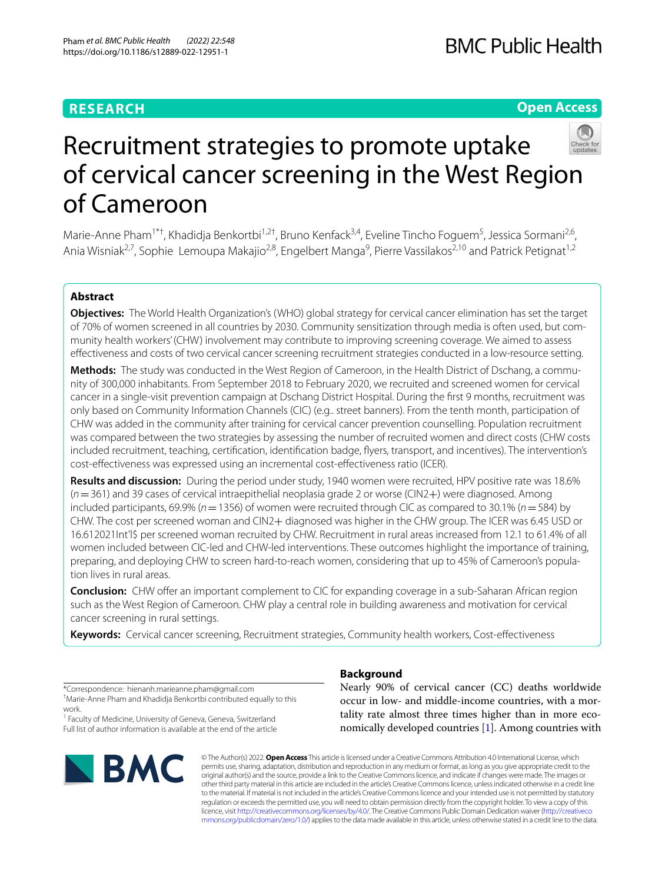# **RESEARCH**

# **Open Access**



# Recruitment strategies to promote uptake of cervical cancer screening in the West Region of Cameroon

Marie-Anne Pham<sup>1\*†</sup>, Khadidja Benkortbi<sup>1,2†</sup>, Bruno Kenfack<sup>3,4</sup>, Eveline Tincho Foguem<sup>5</sup>, Jessica Sormani<sup>2,6</sup>, Ania Wisniak<sup>2,7</sup>, Sophie Lemoupa Makajio<sup>2,8</sup>, Engelbert Manga<sup>9</sup>, Pierre Vassilakos<sup>2,10</sup> and Patrick Petignat<sup>1,2</sup>

# **Abstract**

**Objectives:** The World Health Organization's (WHO) global strategy for cervical cancer elimination has set the target of 70% of women screened in all countries by 2030. Community sensitization through media is often used, but community health workers' (CHW) involvement may contribute to improving screening coverage. We aimed to assess efectiveness and costs of two cervical cancer screening recruitment strategies conducted in a low-resource setting.

**Methods:** The study was conducted in the West Region of Cameroon, in the Health District of Dschang, a community of 300,000 inhabitants. From September 2018 to February 2020, we recruited and screened women for cervical cancer in a single-visit prevention campaign at Dschang District Hospital. During the frst 9 months, recruitment was only based on Community Information Channels (CIC) (e.g.. street banners). From the tenth month, participation of CHW was added in the community after training for cervical cancer prevention counselling. Population recruitment was compared between the two strategies by assessing the number of recruited women and direct costs (CHW costs included recruitment, teaching, certification, identification badge, flyers, transport, and incentives). The intervention's cost-efectiveness was expressed using an incremental cost-efectiveness ratio (ICER).

**Results and discussion:** During the period under study, 1940 women were recruited, HPV positive rate was 18.6% (*n*=361) and 39 cases of cervical intraepithelial neoplasia grade 2 or worse (CIN2+) were diagnosed. Among included participants, 69.9% (*n*=1356) of women were recruited through CIC as compared to 30.1% (*n*=584) by CHW. The cost per screened woman and CIN2+ diagnosed was higher in the CHW group. The ICER was 6.45 USD or 16.612021Int'l\$ per screened woman recruited by CHW. Recruitment in rural areas increased from 12.1 to 61.4% of all women included between CIC-led and CHW-led interventions. These outcomes highlight the importance of training, preparing, and deploying CHW to screen hard-to-reach women, considering that up to 45% of Cameroon's population lives in rural areas.

**Conclusion:** CHW offer an important complement to CIC for expanding coverage in a sub-Saharan African region such as the West Region of Cameroon. CHW play a central role in building awareness and motivation for cervical cancer screening in rural settings.

**Keywords:** Cervical cancer screening, Recruitment strategies, Community health workers, Cost-efectiveness

\*Correspondence: hienanh.marieanne.pham@gmail.com † Marie-Anne Pham and Khadidja Benkortbi contributed equally to this work.

<sup>1</sup> Faculty of Medicine, University of Geneva, Geneva, Switzerland Full list of author information is available at the end of the article



# **Background**

Nearly 90% of cervical cancer (CC) deaths worldwide occur in low- and middle-income countries, with a mortality rate almost three times higher than in more economically developed countries [[1\]](#page-10-0). Among countries with

© The Author(s) 2022. **Open Access** This article is licensed under a Creative Commons Attribution 4.0 International License, which permits use, sharing, adaptation, distribution and reproduction in any medium or format, as long as you give appropriate credit to the original author(s) and the source, provide a link to the Creative Commons licence, and indicate if changes were made. The images or other third party material in this article are included in the article's Creative Commons licence, unless indicated otherwise in a credit line to the material. If material is not included in the article's Creative Commons licence and your intended use is not permitted by statutory regulation or exceeds the permitted use, you will need to obtain permission directly from the copyright holder. To view a copy of this licence, visit [http://creativecommons.org/licenses/by/4.0/.](http://creativecommons.org/licenses/by/4.0/) The Creative Commons Public Domain Dedication waiver ([http://creativeco](http://creativecommons.org/publicdomain/zero/1.0/) [mmons.org/publicdomain/zero/1.0/](http://creativecommons.org/publicdomain/zero/1.0/)) applies to the data made available in this article, unless otherwise stated in a credit line to the data.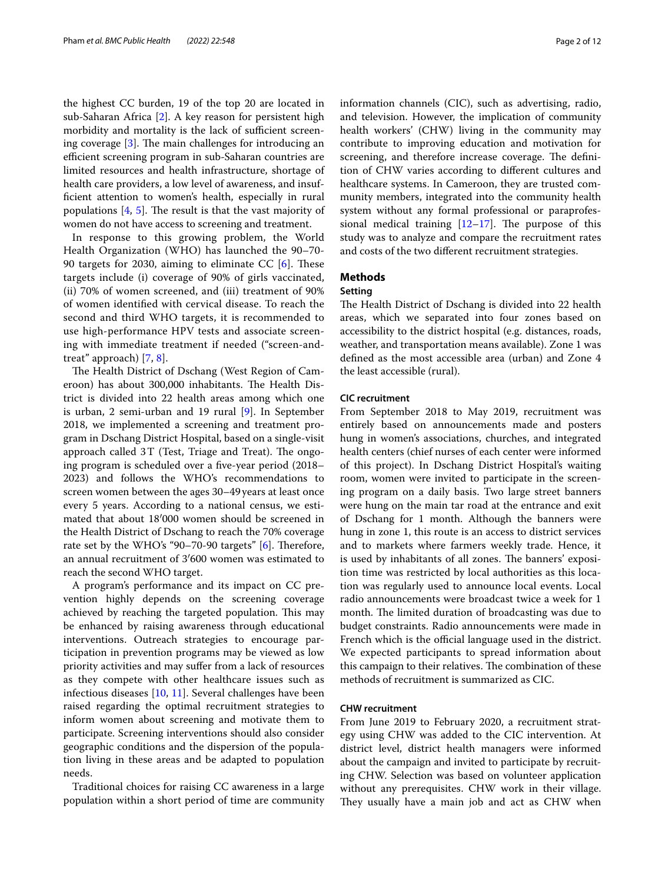the highest CC burden, 19 of the top 20 are located in sub-Saharan Africa [\[2](#page-10-1)]. A key reason for persistent high morbidity and mortality is the lack of sufficient screening coverage  $[3]$  $[3]$ . The main challenges for introducing an efficient screening program in sub-Saharan countries are limited resources and health infrastructure, shortage of health care providers, a low level of awareness, and insuffcient attention to women's health, especially in rural populations  $[4, 5]$  $[4, 5]$  $[4, 5]$ . The result is that the vast majority of women do not have access to screening and treatment.

In response to this growing problem, the World Health Organization (WHO) has launched the 90–70- 90 targets for 2030, aiming to eliminate CC  $[6]$  $[6]$ . These targets include (i) coverage of 90% of girls vaccinated, (ii) 70% of women screened, and (iii) treatment of 90% of women identifed with cervical disease. To reach the second and third WHO targets, it is recommended to use high-performance HPV tests and associate screening with immediate treatment if needed ("screen-andtreat" approach) [\[7](#page-11-2), [8](#page-11-3)].

The Health District of Dschang (West Region of Cameroon) has about 300,000 inhabitants. The Health District is divided into 22 health areas among which one is urban, 2 semi-urban and 19 rural [[9\]](#page-11-4). In September 2018, we implemented a screening and treatment program in Dschang District Hospital, based on a single-visit approach called  $3T$  (Test, Triage and Treat). The ongoing program is scheduled over a fve-year period (2018– 2023) and follows the WHO's recommendations to screen women between the ages 30–49years at least once every 5 years. According to a national census, we estimated that about 18′000 women should be screened in the Health District of Dschang to reach the 70% coverage rate set by the WHO's "90-70-90 targets"  $[6]$  $[6]$ . Therefore, an annual recruitment of 3′600 women was estimated to reach the second WHO target.

A program's performance and its impact on CC prevention highly depends on the screening coverage achieved by reaching the targeted population. This may be enhanced by raising awareness through educational interventions. Outreach strategies to encourage participation in prevention programs may be viewed as low priority activities and may sufer from a lack of resources as they compete with other healthcare issues such as infectious diseases [[10,](#page-11-5) [11\]](#page-11-6). Several challenges have been raised regarding the optimal recruitment strategies to inform women about screening and motivate them to participate. Screening interventions should also consider geographic conditions and the dispersion of the population living in these areas and be adapted to population needs.

Traditional choices for raising CC awareness in a large population within a short period of time are community information channels (CIC), such as advertising, radio, and television. However, the implication of community health workers' (CHW) living in the community may contribute to improving education and motivation for screening, and therefore increase coverage. The definition of CHW varies according to diferent cultures and healthcare systems. In Cameroon, they are trusted community members, integrated into the community health system without any formal professional or paraprofessional medical training  $[12-17]$  $[12-17]$ . The purpose of this study was to analyze and compare the recruitment rates and costs of the two diferent recruitment strategies.

#### **Methods**

#### **Setting**

The Health District of Dschang is divided into 22 health areas, which we separated into four zones based on accessibility to the district hospital (e.g. distances, roads, weather, and transportation means available). Zone 1 was defned as the most accessible area (urban) and Zone 4 the least accessible (rural).

#### **CIC recruitment**

From September 2018 to May 2019, recruitment was entirely based on announcements made and posters hung in women's associations, churches, and integrated health centers (chief nurses of each center were informed of this project). In Dschang District Hospital's waiting room, women were invited to participate in the screening program on a daily basis. Two large street banners were hung on the main tar road at the entrance and exit of Dschang for 1 month. Although the banners were hung in zone 1, this route is an access to district services and to markets where farmers weekly trade. Hence, it is used by inhabitants of all zones. The banners' exposition time was restricted by local authorities as this location was regularly used to announce local events. Local radio announcements were broadcast twice a week for 1 month. The limited duration of broadcasting was due to budget constraints. Radio announcements were made in French which is the official language used in the district. We expected participants to spread information about this campaign to their relatives. The combination of these methods of recruitment is summarized as CIC.

#### **CHW recruitment**

From June 2019 to February 2020, a recruitment strategy using CHW was added to the CIC intervention. At district level, district health managers were informed about the campaign and invited to participate by recruiting CHW. Selection was based on volunteer application without any prerequisites. CHW work in their village. They usually have a main job and act as CHW when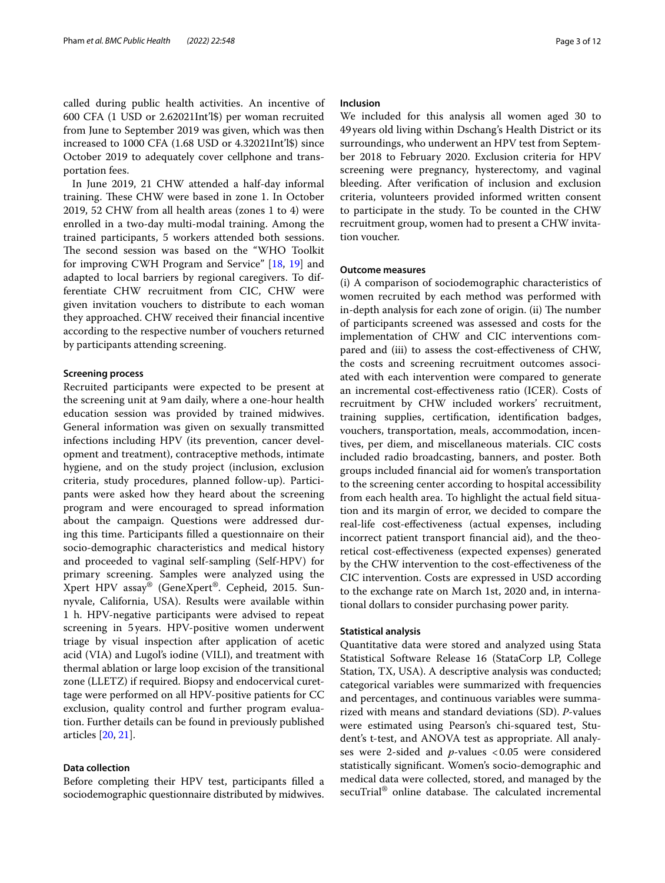called during public health activities. An incentive of 600 CFA (1 USD or 2.62021Int'l\$) per woman recruited from June to September 2019 was given, which was then increased to 1000 CFA (1.68 USD or 4.32021Int'l\$) since October 2019 to adequately cover cellphone and transportation fees.

In June 2019, 21 CHW attended a half-day informal training. These CHW were based in zone 1. In October 2019, 52 CHW from all health areas (zones 1 to 4) were enrolled in a two-day multi-modal training. Among the trained participants, 5 workers attended both sessions. The second session was based on the "WHO Toolkit for improving CWH Program and Service" [\[18](#page-11-9), [19\]](#page-11-10) and adapted to local barriers by regional caregivers. To differentiate CHW recruitment from CIC, CHW were given invitation vouchers to distribute to each woman they approached. CHW received their fnancial incentive according to the respective number of vouchers returned by participants attending screening.

#### **Screening process**

Recruited participants were expected to be present at the screening unit at 9am daily, where a one-hour health education session was provided by trained midwives. General information was given on sexually transmitted infections including HPV (its prevention, cancer development and treatment), contraceptive methods, intimate hygiene, and on the study project (inclusion, exclusion criteria, study procedures, planned follow-up). Participants were asked how they heard about the screening program and were encouraged to spread information about the campaign. Questions were addressed during this time. Participants flled a questionnaire on their socio-demographic characteristics and medical history and proceeded to vaginal self-sampling (Self-HPV) for primary screening. Samples were analyzed using the Xpert HPV assay® (GeneXpert®. Cepheid, 2015. Sunnyvale, California, USA). Results were available within 1 h. HPV-negative participants were advised to repeat screening in 5years. HPV-positive women underwent triage by visual inspection after application of acetic acid (VIA) and Lugol's iodine (VILI), and treatment with thermal ablation or large loop excision of the transitional zone (LLETZ) if required. Biopsy and endocervical curettage were performed on all HPV-positive patients for CC exclusion, quality control and further program evaluation. Further details can be found in previously published articles [[20,](#page-11-11) [21\]](#page-11-12).

#### **Data collection**

Before completing their HPV test, participants flled a sociodemographic questionnaire distributed by midwives.

#### **Inclusion**

We included for this analysis all women aged 30 to 49years old living within Dschang's Health District or its surroundings, who underwent an HPV test from September 2018 to February 2020. Exclusion criteria for HPV screening were pregnancy, hysterectomy, and vaginal bleeding. After verifcation of inclusion and exclusion criteria, volunteers provided informed written consent to participate in the study. To be counted in the CHW recruitment group, women had to present a CHW invitation voucher.

#### **Outcome measures**

(i) A comparison of sociodemographic characteristics of women recruited by each method was performed with in-depth analysis for each zone of origin. (ii) The number of participants screened was assessed and costs for the implementation of CHW and CIC interventions compared and (iii) to assess the cost-efectiveness of CHW, the costs and screening recruitment outcomes associated with each intervention were compared to generate an incremental cost-efectiveness ratio (ICER). Costs of recruitment by CHW included workers' recruitment, training supplies, certifcation, identifcation badges, vouchers, transportation, meals, accommodation, incentives, per diem, and miscellaneous materials. CIC costs included radio broadcasting, banners, and poster. Both groups included fnancial aid for women's transportation to the screening center according to hospital accessibility from each health area. To highlight the actual feld situation and its margin of error, we decided to compare the real-life cost-efectiveness (actual expenses, including incorrect patient transport fnancial aid), and the theoretical cost-efectiveness (expected expenses) generated by the CHW intervention to the cost-efectiveness of the CIC intervention. Costs are expressed in USD according to the exchange rate on March 1st, 2020 and, in international dollars to consider purchasing power parity.

#### **Statistical analysis**

Quantitative data were stored and analyzed using Stata Statistical Software Release 16 (StataCorp LP, College Station, TX, USA). A descriptive analysis was conducted; categorical variables were summarized with frequencies and percentages, and continuous variables were summarized with means and standard deviations (SD). *P*-values were estimated using Pearson's chi-squared test, Student's t-test, and ANOVA test as appropriate. All analyses were 2-sided and *p*-values <0.05 were considered statistically signifcant. Women's socio-demographic and medical data were collected, stored, and managed by the secuTrial<sup>®</sup> online database. The calculated incremental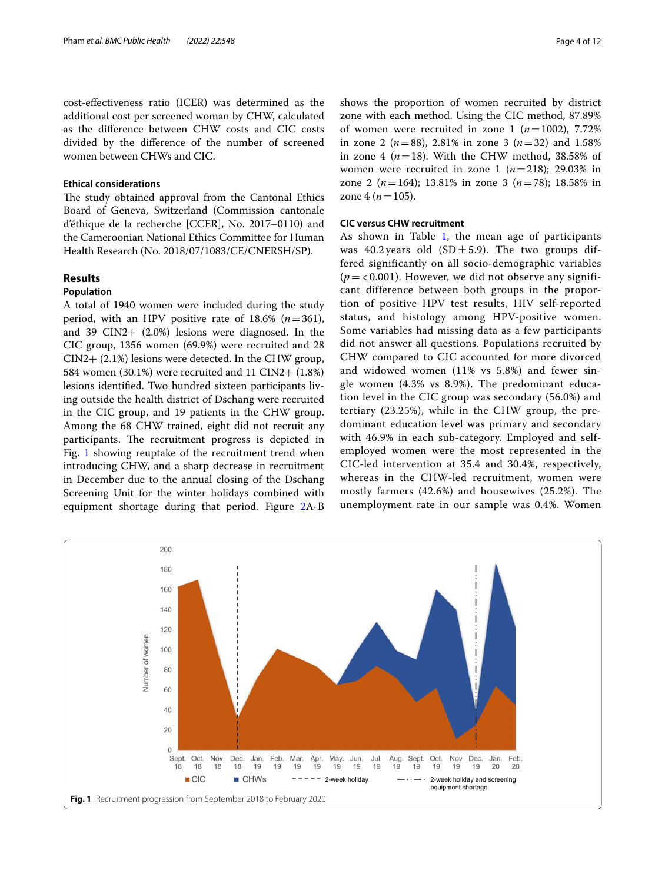cost-efectiveness ratio (ICER) was determined as the additional cost per screened woman by CHW, calculated as the diference between CHW costs and CIC costs divided by the diference of the number of screened women between CHWs and CIC.

#### **Ethical considerations**

The study obtained approval from the Cantonal Ethics Board of Geneva, Switzerland (Commission cantonale d'éthique de la recherche [CCER], No. 2017–0110) and the Cameroonian National Ethics Committee for Human Health Research (No. 2018/07/1083/CE/CNERSH/SP).

## **Results**

#### **Population**

A total of 1940 women were included during the study period, with an HPV positive rate of  $18.6\%$  ( $n=361$ ), and 39 CIN2+ (2.0%) lesions were diagnosed. In the CIC group, 1356 women (69.9%) were recruited and 28 CIN2+ (2.1%) lesions were detected. In the CHW group, 584 women (30.1%) were recruited and 11 CIN2+ (1.8%) lesions identifed. Two hundred sixteen participants living outside the health district of Dschang were recruited in the CIC group, and 19 patients in the CHW group. Among the 68 CHW trained, eight did not recruit any participants. The recruitment progress is depicted in Fig. [1](#page-3-0) showing reuptake of the recruitment trend when introducing CHW, and a sharp decrease in recruitment in December due to the annual closing of the Dschang Screening Unit for the winter holidays combined with equipment shortage during that period. Figure [2](#page-4-0)A-B shows the proportion of women recruited by district zone with each method. Using the CIC method, 87.89% of women were recruited in zone 1  $(n=1002)$ , 7.72% in zone 2 (*n*=88), 2.81% in zone 3 (*n*=32) and 1.58% in zone 4  $(n=18)$ . With the CHW method, 38.58% of women were recruited in zone 1  $(n=218)$ ; 29.03% in zone 2 (*n*=164); 13.81% in zone 3 (*n*=78); 18.58% in zone 4 ( $n = 105$ ).

#### **CIC versus CHW recruitment**

As shown in Table [1](#page-5-0), the mean age of participants was 40.2 years old  $(SD \pm 5.9)$ . The two groups differed significantly on all socio-demographic variables  $(p = 0.001)$ . However, we did not observe any significant difference between both groups in the proportion of positive HPV test results, HIV self-reported status, and histology among HPV-positive women. Some variables had missing data as a few participants did not answer all questions. Populations recruited by CHW compared to CIC accounted for more divorced and widowed women (11% vs 5.8%) and fewer single women (4.3% vs 8.9%). The predominant education level in the CIC group was secondary (56.0%) and tertiary (23.25%), while in the CHW group, the predominant education level was primary and secondary with 46.9% in each sub-category. Employed and selfemployed women were the most represented in the CIC-led intervention at 35.4 and 30.4%, respectively, whereas in the CHW-led recruitment, women were mostly farmers (42.6%) and housewives (25.2%). The unemployment rate in our sample was 0.4%. Women

<span id="page-3-0"></span>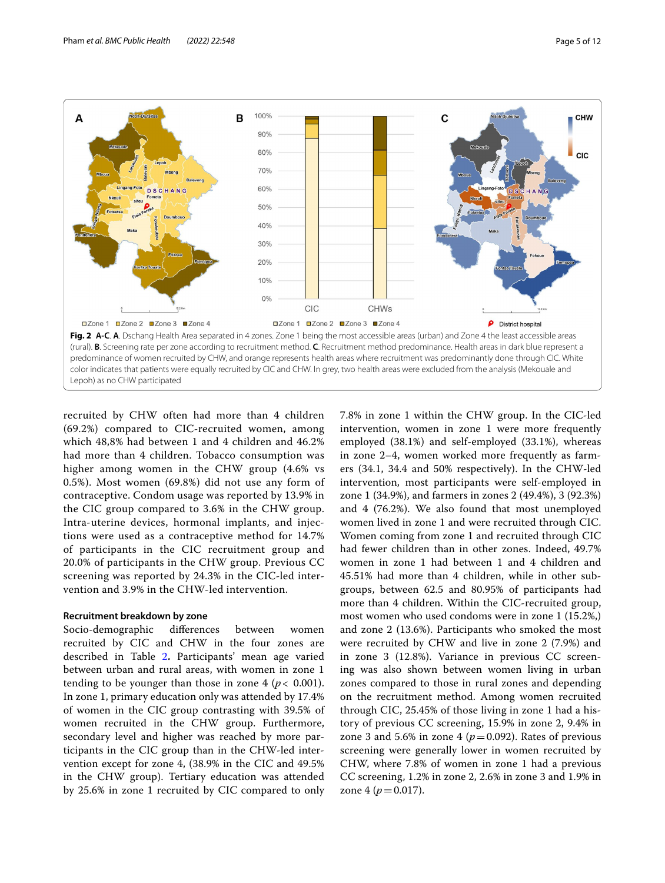

<span id="page-4-0"></span>recruited by CHW often had more than 4 children (69.2%) compared to CIC-recruited women, among which 48,8% had between 1 and 4 children and 46.2% had more than 4 children. Tobacco consumption was higher among women in the CHW group (4.6% vs 0.5%). Most women (69.8%) did not use any form of contraceptive. Condom usage was reported by 13.9% in the CIC group compared to 3.6% in the CHW group. Intra-uterine devices, hormonal implants, and injections were used as a contraceptive method for 14.7% of participants in the CIC recruitment group and 20.0% of participants in the CHW group. Previous CC screening was reported by 24.3% in the CIC-led intervention and 3.9% in the CHW-led intervention.

#### **Recruitment breakdown by zone**

Socio-demographic diferences between women recruited by CIC and CHW in the four zones are described in Table [2](#page-7-0)**.** Participants' mean age varied between urban and rural areas, with women in zone 1 tending to be younger than those in zone  $4 (p < 0.001)$ . In zone 1, primary education only was attended by 17.4% of women in the CIC group contrasting with 39.5% of women recruited in the CHW group. Furthermore, secondary level and higher was reached by more participants in the CIC group than in the CHW-led intervention except for zone 4, (38.9% in the CIC and 49.5% in the CHW group). Tertiary education was attended by 25.6% in zone 1 recruited by CIC compared to only 7.8% in zone 1 within the CHW group. In the CIC-led intervention, women in zone 1 were more frequently employed (38.1%) and self-employed (33.1%), whereas in zone 2–4, women worked more frequently as farmers (34.1, 34.4 and 50% respectively). In the CHW-led intervention, most participants were self-employed in zone 1 (34.9%), and farmers in zones 2 (49.4%), 3 (92.3%) and 4 (76.2%). We also found that most unemployed women lived in zone 1 and were recruited through CIC. Women coming from zone 1 and recruited through CIC had fewer children than in other zones. Indeed, 49.7% women in zone 1 had between 1 and 4 children and 45.51% had more than 4 children, while in other subgroups, between 62.5 and 80.95% of participants had more than 4 children. Within the CIC-recruited group, most women who used condoms were in zone 1 (15.2%,) and zone 2 (13.6%). Participants who smoked the most were recruited by CHW and live in zone 2 (7.9%) and in zone 3 (12.8%). Variance in previous CC screening was also shown between women living in urban zones compared to those in rural zones and depending on the recruitment method. Among women recruited through CIC, 25.45% of those living in zone 1 had a history of previous CC screening, 15.9% in zone 2, 9.4% in zone 3 and 5.6% in zone 4 ( $p = 0.092$ ). Rates of previous screening were generally lower in women recruited by CHW, where 7.8% of women in zone 1 had a previous CC screening, 1.2% in zone 2, 2.6% in zone 3 and 1.9% in zone 4 ( $p = 0.017$ ).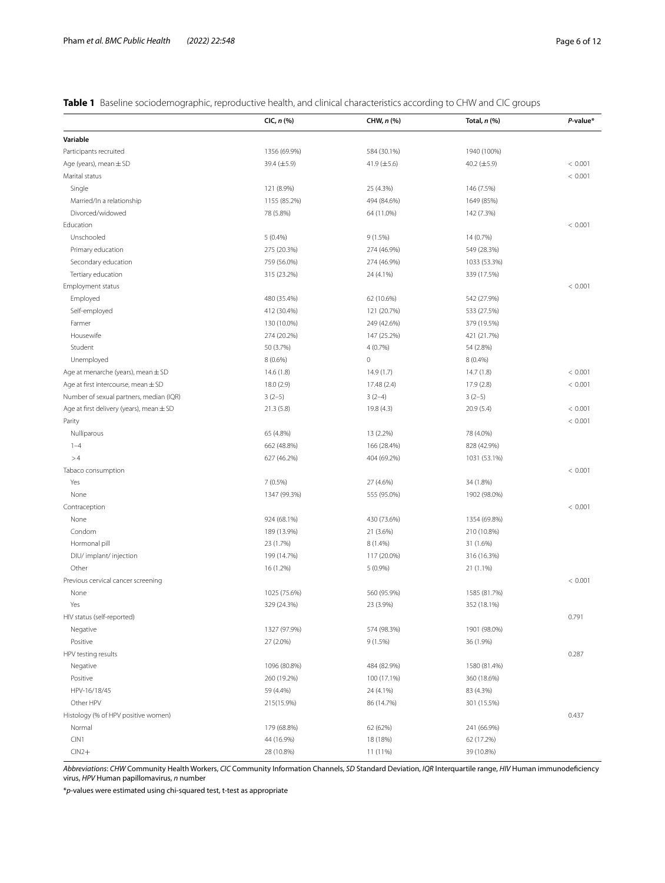## <span id="page-5-0"></span>**Table 1** Baseline sociodemographic, reproductive health, and clinical characteristics according to CHW and CIC groups

|                                              | $ClC, n$ (%) | CHW, n (%)       | Total, n (%) | P-value* |
|----------------------------------------------|--------------|------------------|--------------|----------|
| Variable                                     |              |                  |              |          |
| Participants recruited                       | 1356 (69.9%) | 584 (30.1%)      | 1940 (100%)  |          |
| Age (years), mean $\pm$ SD                   | 39.4 (±5.9)  | 41.9 $(\pm 5.6)$ | 40.2 (±5.9)  | < 0.001  |
| Marital status                               |              |                  |              | < 0.001  |
| Single                                       | 121 (8.9%)   | 25 (4.3%)        | 146 (7.5%)   |          |
| Married/In a relationship                    | 1155 (85.2%) | 494 (84.6%)      | 1649 (85%)   |          |
| Divorced/widowed                             | 78 (5.8%)    | 64 (11.0%)       | 142 (7.3%)   |          |
| Fducation                                    |              |                  |              | < 0.001  |
| Unschooled                                   | 5(0.4%)      | 9(1.5%)          | 14 (0.7%)    |          |
| Primary education                            | 275 (20.3%)  | 274 (46.9%)      | 549 (28.3%)  |          |
| Secondary education                          | 759 (56.0%)  | 274 (46.9%)      | 1033 (53.3%) |          |
| Tertiary education                           | 315 (23.2%)  | 24 (4.1%)        | 339 (17.5%)  |          |
| Employment status                            |              |                  |              | < 0.001  |
| Employed                                     | 480 (35.4%)  | 62 (10.6%)       | 542 (27.9%)  |          |
| Self-employed                                | 412 (30.4%)  | 121 (20.7%)      | 533 (27.5%)  |          |
| Farmer                                       | 130 (10.0%)  | 249 (42.6%)      | 379 (19.5%)  |          |
| Housewife                                    | 274 (20.2%)  | 147 (25.2%)      | 421 (21.7%)  |          |
| Student                                      | 50 (3.7%)    | 4(0.7%)          | 54 (2.8%)    |          |
| Unemployed                                   | 8 (0.6%)     | $\,0\,$          | 8 (0.4%)     |          |
| Age at menarche (years), mean $\pm$ SD       | 14.6(1.8)    | 14.9(1.7)        | 14.7(1.8)    | < 0.001  |
| Age at first intercourse, mean $\pm$ SD      | 18.0 (2.9)   | 17.48 (2.4)      | 17.9 (2.8)   | < 0.001  |
| Number of sexual partners, median (IQR)      | $3(2-5)$     | $3(2-4)$         | $3(2-5)$     |          |
| Age at first delivery (years), mean $\pm$ SD | 21.3(5.8)    | 19.8 (4.3)       | 20.9 (5.4)   | < 0.001  |
| Parity                                       |              |                  |              | < 0.001  |
| Nulliparous                                  | 65 (4.8%)    | 13 (2.2%)        | 78 (4.0%)    |          |
| $1 - 4$                                      | 662 (48.8%)  | 166 (28.4%)      | 828 (42.9%)  |          |
| >4                                           | 627 (46.2%)  | 404 (69.2%)      | 1031 (53.1%) |          |
| Tabaco consumption                           |              |                  |              | < 0.001  |
| Yes                                          | 7 (0.5%)     | 27 (4.6%)        | 34 (1.8%)    |          |
| None                                         | 1347 (99.3%) | 555 (95.0%)      | 1902 (98.0%) |          |
| Contraception                                |              |                  |              | < 0.001  |
| None                                         | 924 (68.1%)  | 430 (73.6%)      | 1354 (69.8%) |          |
| Condom                                       | 189 (13.9%)  | 21 (3.6%)        | 210 (10.8%)  |          |
| Hormonal pill                                | 23 (1.7%)    | 8 (1.4%)         | 31 (1.6%)    |          |
| DIU/ implant/ injection                      | 199 (14.7%)  | 117 (20.0%)      | 316 (16.3%)  |          |
| Other                                        | 16 (1.2%)    | 5 (0.9%)         | 21 (1.1%)    |          |
| Previous cervical cancer screening           |              |                  |              | < 0.001  |
| None                                         | 1025 (75.6%) | 560 (95.9%)      | 1585 (81.7%) |          |
| Yes                                          | 329 (24.3%)  | 23 (3.9%)        | 352 (18.1%)  |          |
| HIV status (self-reported)                   |              |                  |              | 0.791    |
| Negative                                     | 1327 (97.9%) | 574 (98.3%)      | 1901 (98.0%) |          |
| Positive                                     | 27 (2.0%)    | 9(1.5%)          | 36 (1.9%)    |          |
| HPV testing results                          |              |                  |              | 0.287    |
| Negative                                     | 1096 (80.8%) | 484 (82.9%)      | 1580 (81.4%) |          |
| Positive                                     | 260 (19.2%)  | 100 (17.1%)      | 360 (18.6%)  |          |
| HPV-16/18/45                                 | 59 (4.4%)    | 24 (4.1%)        | 83 (4.3%)    |          |
| Other HPV                                    | 215(15.9%)   | 86 (14.7%)       | 301 (15.5%)  |          |
| Histology (% of HPV positive women)          |              |                  |              | 0.437    |
| Normal                                       | 179 (68.8%)  | 62 (62%)         | 241 (66.9%)  |          |
| CIN1                                         | 44 (16.9%)   | 18 (18%)         | 62 (17.2%)   |          |
| $CIN2+$                                      | 28 (10.8%)   | 11 (11%)         | 39 (10.8%)   |          |

*Abbreviations*: *CHW* Community Health Workers, *CIC* Community Information Channels, *SD* Standard Deviation, *IQR* Interquartile range, *HIV* Human immunodefciency virus, *HPV* Human papillomavirus, *n* number

\**p*-values were estimated using chi-squared test, t-test as appropriate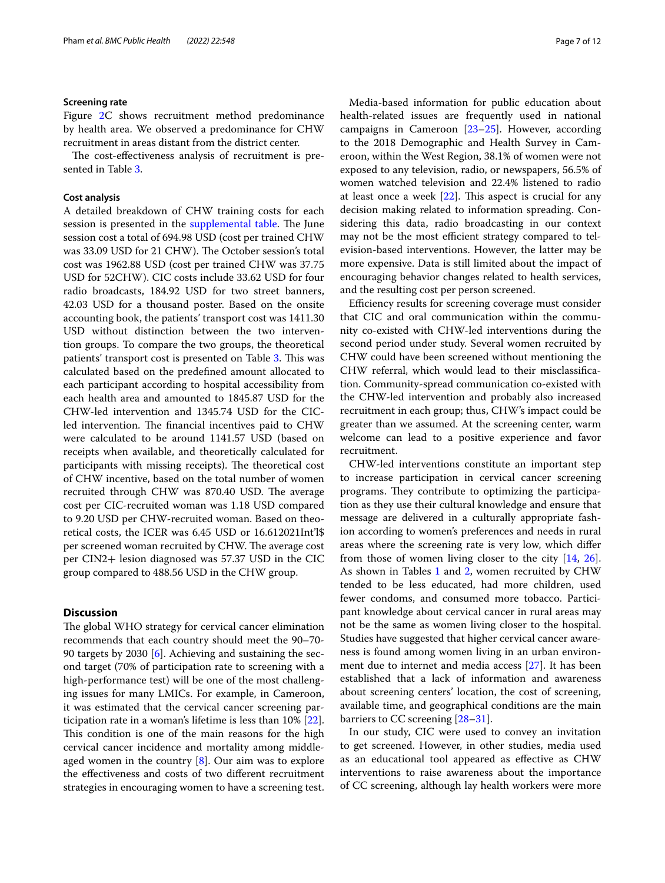#### **Screening rate**

Figure [2C](#page-4-0) shows recruitment method predominance by health area. We observed a predominance for CHW recruitment in areas distant from the district center.

The cost-effectiveness analysis of recruitment is presented in Table [3.](#page-9-0)

#### **Cost analysis**

A detailed breakdown of CHW training costs for each session is presented in the [supplemental table](#page-10-4). The June session cost a total of 694.98 USD (cost per trained CHW was 33.09 USD for 21 CHW). The October session's total cost was 1962.88 USD (cost per trained CHW was 37.75 USD for 52CHW). CIC costs include 33.62 USD for four radio broadcasts, 184.92 USD for two street banners, 42.03 USD for a thousand poster. Based on the onsite accounting book, the patients' transport cost was 1411.30 USD without distinction between the two intervention groups. To compare the two groups, the theoretical patients' transport cost is presented on Table [3.](#page-9-0) This was calculated based on the predefned amount allocated to each participant according to hospital accessibility from each health area and amounted to 1845.87 USD for the CHW-led intervention and 1345.74 USD for the CICled intervention. The financial incentives paid to CHW were calculated to be around 1141.57 USD (based on receipts when available, and theoretically calculated for participants with missing receipts). The theoretical cost of CHW incentive, based on the total number of women recruited through CHW was 870.40 USD. The average cost per CIC-recruited woman was 1.18 USD compared to 9.20 USD per CHW-recruited woman. Based on theoretical costs, the ICER was 6.45 USD or 16.612021Int'l\$ per screened woman recruited by CHW. The average cost per CIN2+ lesion diagnosed was 57.37 USD in the CIC group compared to 488.56 USD in the CHW group.

#### **Discussion**

The global WHO strategy for cervical cancer elimination recommends that each country should meet the 90–70- 90 targets by 2030 [\[6](#page-11-1)]. Achieving and sustaining the second target (70% of participation rate to screening with a high-performance test) will be one of the most challenging issues for many LMICs. For example, in Cameroon, it was estimated that the cervical cancer screening participation rate in a woman's lifetime is less than 10% [\[22](#page-11-13)]. This condition is one of the main reasons for the high cervical cancer incidence and mortality among middleaged women in the country [\[8](#page-11-3)]. Our aim was to explore the efectiveness and costs of two diferent recruitment strategies in encouraging women to have a screening test.

Media-based information for public education about health-related issues are frequently used in national campaigns in Cameroon [[23](#page-11-14)[–25](#page-11-15)]. However, according to the 2018 Demographic and Health Survey in Cameroon, within the West Region, 38.1% of women were not exposed to any television, radio, or newspapers, 56.5% of women watched television and 22.4% listened to radio at least once a week  $[22]$  $[22]$ . This aspect is crucial for any decision making related to information spreading. Considering this data, radio broadcasting in our context may not be the most efficient strategy compared to television-based interventions. However, the latter may be more expensive. Data is still limited about the impact of encouraging behavior changes related to health services, and the resulting cost per person screened.

Efficiency results for screening coverage must consider that CIC and oral communication within the community co-existed with CHW-led interventions during the second period under study. Several women recruited by CHW could have been screened without mentioning the CHW referral, which would lead to their misclassifcation. Community-spread communication co-existed with the CHW-led intervention and probably also increased recruitment in each group; thus, CHW's impact could be greater than we assumed. At the screening center, warm welcome can lead to a positive experience and favor recruitment.

CHW-led interventions constitute an important step to increase participation in cervical cancer screening programs. They contribute to optimizing the participation as they use their cultural knowledge and ensure that message are delivered in a culturally appropriate fashion according to women's preferences and needs in rural areas where the screening rate is very low, which difer from those of women living closer to the city [\[14](#page-11-16), [26](#page-11-17)]. As shown in Tables [1](#page-5-0) and [2](#page-7-0), women recruited by CHW tended to be less educated, had more children, used fewer condoms, and consumed more tobacco. Participant knowledge about cervical cancer in rural areas may not be the same as women living closer to the hospital. Studies have suggested that higher cervical cancer awareness is found among women living in an urban environment due to internet and media access [[27\]](#page-11-18). It has been established that a lack of information and awareness about screening centers' location, the cost of screening, available time, and geographical conditions are the main barriers to CC screening [\[28](#page-11-19)[–31\]](#page-11-20).

In our study, CIC were used to convey an invitation to get screened. However, in other studies, media used as an educational tool appeared as efective as CHW interventions to raise awareness about the importance of CC screening, although lay health workers were more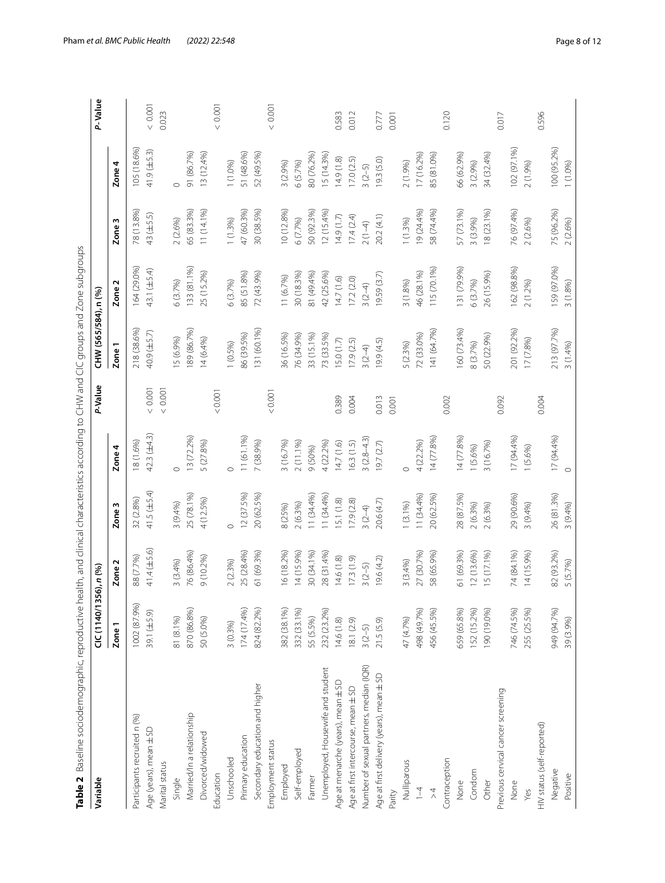<span id="page-7-0"></span>

| ļ                                                     |
|-------------------------------------------------------|
| J<br>ׇ֘֝֕֕֜֡                                          |
| i<br>l                                                |
| ı                                                     |
| ׇ֚֘֡<br>$\overline{\phantom{a}}$                      |
|                                                       |
| l                                                     |
|                                                       |
|                                                       |
|                                                       |
|                                                       |
| j                                                     |
| $\overline{\phantom{a}}$                              |
| ĺ<br>l                                                |
| i                                                     |
| j                                                     |
|                                                       |
| i                                                     |
|                                                       |
|                                                       |
| $\ddot{\phantom{a}}$                                  |
|                                                       |
| l<br>l<br>í                                           |
| ì                                                     |
| ֖֖֖֖ׅׅׅ֪ׅ֖֧֪ׅ֪֪ׅ֖֚֚֚֚֚֚֚֚֚֚֚֚֚֚֚֡֝֝֘֝֬֝֬֝֬֝֝֓<br>١    |
|                                                       |
|                                                       |
| j<br>j                                                |
|                                                       |
| ֡֡֡                                                   |
|                                                       |
| ٣<br>Ï                                                |
|                                                       |
| í                                                     |
|                                                       |
|                                                       |
| ĵ.                                                    |
|                                                       |
| j<br>١                                                |
| S<br>j                                                |
| ì<br>I                                                |
|                                                       |
| ţ                                                     |
|                                                       |
| ì                                                     |
| ł                                                     |
| l<br>ï                                                |
| Ì                                                     |
| ā                                                     |
|                                                       |
|                                                       |
| Ì                                                     |
|                                                       |
| ١                                                     |
| j                                                     |
| ł<br>Ï                                                |
|                                                       |
| ï                                                     |
| .<br>S<br>$\frac{1}{2}$                               |
| ī<br>ï<br>ś                                           |
|                                                       |
| ١                                                     |
|                                                       |
|                                                       |
| l<br>Š                                                |
|                                                       |
|                                                       |
|                                                       |
| I                                                     |
|                                                       |
|                                                       |
| ì                                                     |
| 5                                                     |
| ï                                                     |
| ī                                                     |
|                                                       |
|                                                       |
|                                                       |
| ï<br>Š                                                |
|                                                       |
|                                                       |
|                                                       |
|                                                       |
|                                                       |
|                                                       |
| ֚֚֘֝                                                  |
| i<br>ׇ֘֒                                              |
|                                                       |
| ֖֖֖֖֖֧ׅ֧ׅ֖֧֪֪ׅ֖֚֚֚֚֚֚֚֚֚֚֚֚֚֚֚֚֚֚֚֚֡֝֝֝֬֝֬֝֬֝֓֞֡<br>i |
|                                                       |
| ļ                                                     |
| Ó<br>١                                                |
| à<br>j                                                |
|                                                       |
|                                                       |
|                                                       |
| ÷<br>ł                                                |
|                                                       |
| ļ<br>J                                                |
| į<br>ׇׇ֠֕֡                                            |
|                                                       |
| j<br>١                                                |
| l                                                     |
|                                                       |
| i                                                     |
| i                                                     |
| ׇ֚֘֡<br>l                                             |
| l                                                     |
|                                                       |
|                                                       |
|                                                       |
|                                                       |
|                                                       |
|                                                       |
| I                                                     |
|                                                       |
| $\overline{\mathbf{C}}$<br>l<br>ï                     |
| Ù                                                     |
| ۱<br>i                                                |
| $\frac{1}{2}$<br>l<br>١                               |
|                                                       |
|                                                       |
| I<br>ĺ                                                |
| a<br>∍                                                |

| 47 (60.3%)<br>10 (12.8%)<br>19 (24.4%)<br>75 (96.2%)<br>65 (83.3%)<br>11 (14.1%)<br>30 (38.5%)<br>50 (92.3%)<br>12(15.4%)<br>58 (74.4%)<br>57 (73.1%)<br>76 (97.4%)<br>78 (13.8%)<br>18 (23.1%)<br>43 (±5.5)<br>20.2 (4.1)<br>14.9(1.7)<br>17.4(2.4)<br>2(2.6%)<br>1(1.3%)<br>1(1.3%)<br>6 (7.7%)<br>3 (3.9%)<br>2(2.6%)<br>Zone <sub>3</sub><br>$2(1-4)$<br>159 (97.0%)<br>133 (81.1%)<br>131 (79.9%)<br>162 (98.8%)<br>164 (29.0%)<br>115 (70.1%)<br>43.1 (±5.4)<br>85 (51.8%)<br>72 (43.9%)<br>81 (49.4%)<br>42 (25.6%)<br>46 (28.1%)<br>26 (15.9%)<br>25 (15.2%)<br>30 (18.3%)<br>19.59 (3.7)<br>11 (6.7%)<br>14.7(1.6)<br>17.2(2.0)<br>6(3.7%)<br>6(3.7%)<br>3(1.8%)<br>6 (3.7%)<br>2 (1.2%)<br>3(1.8%)<br>Zone <sub>2</sub><br>$3(2-4)$<br>160 (73.4%)<br>201 (92.2%)<br>213 (97.7%)<br>189 (86.7%)<br>131 (60.1%)<br>218 (38.6%)<br>141 (64.7%)<br>40.9 (±5.7)<br>86 (39.5%)<br>36 (16.5%)<br>76 (34.9%)<br>33 (15.1%)<br>72 (33.0%)<br>50 (22.9%)<br>73 (33.5%)<br>15(6.9%)<br>14(6.4%)<br>17 (7.8%)<br>15.0(1.7)<br>17.9(2.5)<br>19.9(4.5)<br>1(0.5%)<br>5 (2.3%)<br>8 (3.7%)<br>Zone <sub>1</sub><br>$3(2-4)$<br>$<0.001$<br>$<0.001$<br>0.001<br>0.001<br>0.389<br>0.013<br>0.092<br>0.004<br>0.002<br>0.004<br>0.001<br>$42.3(\pm 4.3)$<br>13 (72.2%)<br>11 (61.1%)<br>14 (77.8%)<br>17 (94.4%)<br>$3(2.8-4.3)$<br>14 (77.8%)<br>17(94.4%<br>3 (16.7%)<br>4 (22.2%)<br>14.7(1.6)<br>4 (22.2%)<br>18 (1.6%)<br>5 (27.8%)<br>7 (38.9%)<br>2 (11.1%)<br>16.3(1.5)<br>3 (16.7%)<br>19.7(2.7)<br>1(5.6%)<br>9 (50%)<br>Zone 4<br>1 (5.6%)<br>$\circ$<br>$\circ$<br>$\circ$<br>$\circ$<br>41.5 $(\pm 5.4)$<br>12 (37.5%)<br>20 (62.5%)<br>11 (34.4%)<br>11(34.4%)<br>28 (87.5%)<br>26 (81.3%)<br>25 (78.1%)<br>11(34.4%)<br>20 (62.5%)<br>29 (90.6%)<br>4 (12.5%)<br>32 (2.8%)<br>15.1(1.8)<br>17.9(2.8)<br>20.6(4.7)<br>3(9.4%)<br>$1(3.1\%)$<br>2(6.3%)<br>2(6.3%)<br>2(6.3%)<br>3 (9.4%)<br>3(9.4%)<br>8 (25%)<br>Zone <sub>3</sub><br>$3(2-4)$<br>$\circ$<br>41.4 (±5.6)<br>14 (15.9%)<br>16 (18.2%)<br>30 (34.1%)<br>51 (69.3%)<br>74 (84.1%)<br>14 (15.9%)<br>82 (93.2%)<br>25 (28.4%)<br>61 (69.3%)<br>28 (31.4%)<br>58 (65.9%)<br>12 (13.6%)<br>15 (17.1%)<br>76 (86.4%)<br>27 (30.7%)<br>88 (7.7%)<br>9 (10.2%)<br>14.6(1.8)<br>17.3(1.9)<br>19.6(4.2)<br>3(3.4%)<br>2(2.3%)<br>3(3.4%)<br>Zone <sub>2</sub><br>$3(2-5)$<br>1002 (87.9%)<br>870 (86.8%)<br>456 (45.5%)<br>152 (15.2%)<br>190 (19.0%)<br>746 (74.5%)<br>255 (25.5%)<br>949 (94.7%)<br>174 (17.4%)<br>824 (82.2%)<br>382 (38.1%)<br>659 (65.8%)<br>332 (33.1%)<br>498 (49.7%)<br>232 (23.2%)<br>39.1 (±5.9)<br>81 (8.1%)<br>50 (5.0%)<br>47 (4.7%)<br>55 (5.5%)<br>21.5(5.9)<br>39 (3.9%)<br>14.6(1.8)<br>8.1 (2.9)<br>3(0.3%)<br>Zone <sub>1</sub><br>$3(2-5)$<br>Number of sexual partners, median (IQR)<br>Unemployed, Housewife and student<br>Age at first delivery (years), mean ± SD<br>Age at menarche (years), mean ± SD<br>Secondary education and higher<br>Age at first intercourse, mean ±SD<br>Previous cervical cancer screening<br>Married/In a relationship<br>Participants recruited n (%)<br>HIV status (self-reported)<br>Age (years), mean ± SD<br>Divorced/widowed<br>Primary education<br>Employment status<br>Self-employed<br>Unschooled<br>Contraception<br>Nulliparous<br>Marital status<br>Employed<br>Negative<br>Condom<br>Education<br>Positive<br>Farmer<br>Single<br>Other<br>None<br>None<br>$\overline{1}$<br>Parity<br>$\stackrel{\wedge}{\scriptstyle\sim}$<br>Yes | Variable | CIC (1140/1356), n (%) |          |  | P-Value | CHW (565/584), n (%) |          |                  | P-Value  |
|--------------------------------------------------------------------------------------------------------------------------------------------------------------------------------------------------------------------------------------------------------------------------------------------------------------------------------------------------------------------------------------------------------------------------------------------------------------------------------------------------------------------------------------------------------------------------------------------------------------------------------------------------------------------------------------------------------------------------------------------------------------------------------------------------------------------------------------------------------------------------------------------------------------------------------------------------------------------------------------------------------------------------------------------------------------------------------------------------------------------------------------------------------------------------------------------------------------------------------------------------------------------------------------------------------------------------------------------------------------------------------------------------------------------------------------------------------------------------------------------------------------------------------------------------------------------------------------------------------------------------------------------------------------------------------------------------------------------------------------------------------------------------------------------------------------------------------------------------------------------------------------------------------------------------------------------------------------------------------------------------------------------------------------------------------------------------------------------------------------------------------------------------------------------------------------------------------------------------------------------------------------------------------------------------------------------------------------------------------------------------------------------------------------------------------------------------------------------------------------------------------------------------------------------------------------------------------------------------------------------------------------------------------------------------------------------------------------------------------------------------------------------------------------------------------------------------------------------------------------------------------------------------------------------------------------------------------------------------------------------------------------------------------------------------------------------------------------------------------------------------------------------------------------------------------------------------------------------------------------------------------------------------------------------------------------------------------------------------------------------------------------------------------------------------------------------------------------------------------------|----------|------------------------|----------|--|---------|----------------------|----------|------------------|----------|
|                                                                                                                                                                                                                                                                                                                                                                                                                                                                                                                                                                                                                                                                                                                                                                                                                                                                                                                                                                                                                                                                                                                                                                                                                                                                                                                                                                                                                                                                                                                                                                                                                                                                                                                                                                                                                                                                                                                                                                                                                                                                                                                                                                                                                                                                                                                                                                                                                                                                                                                                                                                                                                                                                                                                                                                                                                                                                                                                                                                                                                                                                                                                                                                                                                                                                                                                                                                                                                                                                      |          |                        |          |  |         |                      |          | Zone 4           |          |
|                                                                                                                                                                                                                                                                                                                                                                                                                                                                                                                                                                                                                                                                                                                                                                                                                                                                                                                                                                                                                                                                                                                                                                                                                                                                                                                                                                                                                                                                                                                                                                                                                                                                                                                                                                                                                                                                                                                                                                                                                                                                                                                                                                                                                                                                                                                                                                                                                                                                                                                                                                                                                                                                                                                                                                                                                                                                                                                                                                                                                                                                                                                                                                                                                                                                                                                                                                                                                                                                                      |          |                        |          |  |         |                      |          | 105 (18.6%)      |          |
|                                                                                                                                                                                                                                                                                                                                                                                                                                                                                                                                                                                                                                                                                                                                                                                                                                                                                                                                                                                                                                                                                                                                                                                                                                                                                                                                                                                                                                                                                                                                                                                                                                                                                                                                                                                                                                                                                                                                                                                                                                                                                                                                                                                                                                                                                                                                                                                                                                                                                                                                                                                                                                                                                                                                                                                                                                                                                                                                                                                                                                                                                                                                                                                                                                                                                                                                                                                                                                                                                      |          |                        |          |  |         |                      |          | $41.9 (\pm 5.3)$ | < 0.001  |
|                                                                                                                                                                                                                                                                                                                                                                                                                                                                                                                                                                                                                                                                                                                                                                                                                                                                                                                                                                                                                                                                                                                                                                                                                                                                                                                                                                                                                                                                                                                                                                                                                                                                                                                                                                                                                                                                                                                                                                                                                                                                                                                                                                                                                                                                                                                                                                                                                                                                                                                                                                                                                                                                                                                                                                                                                                                                                                                                                                                                                                                                                                                                                                                                                                                                                                                                                                                                                                                                                      |          |                        |          |  |         |                      |          |                  | 0.023    |
|                                                                                                                                                                                                                                                                                                                                                                                                                                                                                                                                                                                                                                                                                                                                                                                                                                                                                                                                                                                                                                                                                                                                                                                                                                                                                                                                                                                                                                                                                                                                                                                                                                                                                                                                                                                                                                                                                                                                                                                                                                                                                                                                                                                                                                                                                                                                                                                                                                                                                                                                                                                                                                                                                                                                                                                                                                                                                                                                                                                                                                                                                                                                                                                                                                                                                                                                                                                                                                                                                      |          |                        |          |  |         |                      |          | $\circ$          |          |
|                                                                                                                                                                                                                                                                                                                                                                                                                                                                                                                                                                                                                                                                                                                                                                                                                                                                                                                                                                                                                                                                                                                                                                                                                                                                                                                                                                                                                                                                                                                                                                                                                                                                                                                                                                                                                                                                                                                                                                                                                                                                                                                                                                                                                                                                                                                                                                                                                                                                                                                                                                                                                                                                                                                                                                                                                                                                                                                                                                                                                                                                                                                                                                                                                                                                                                                                                                                                                                                                                      |          |                        |          |  |         |                      |          | 91 (86.7%)       |          |
|                                                                                                                                                                                                                                                                                                                                                                                                                                                                                                                                                                                                                                                                                                                                                                                                                                                                                                                                                                                                                                                                                                                                                                                                                                                                                                                                                                                                                                                                                                                                                                                                                                                                                                                                                                                                                                                                                                                                                                                                                                                                                                                                                                                                                                                                                                                                                                                                                                                                                                                                                                                                                                                                                                                                                                                                                                                                                                                                                                                                                                                                                                                                                                                                                                                                                                                                                                                                                                                                                      |          |                        |          |  |         |                      |          | 13 (12.4%)       |          |
|                                                                                                                                                                                                                                                                                                                                                                                                                                                                                                                                                                                                                                                                                                                                                                                                                                                                                                                                                                                                                                                                                                                                                                                                                                                                                                                                                                                                                                                                                                                                                                                                                                                                                                                                                                                                                                                                                                                                                                                                                                                                                                                                                                                                                                                                                                                                                                                                                                                                                                                                                                                                                                                                                                                                                                                                                                                                                                                                                                                                                                                                                                                                                                                                                                                                                                                                                                                                                                                                                      |          |                        |          |  |         |                      |          |                  | < 0.001  |
|                                                                                                                                                                                                                                                                                                                                                                                                                                                                                                                                                                                                                                                                                                                                                                                                                                                                                                                                                                                                                                                                                                                                                                                                                                                                                                                                                                                                                                                                                                                                                                                                                                                                                                                                                                                                                                                                                                                                                                                                                                                                                                                                                                                                                                                                                                                                                                                                                                                                                                                                                                                                                                                                                                                                                                                                                                                                                                                                                                                                                                                                                                                                                                                                                                                                                                                                                                                                                                                                                      |          |                        |          |  |         |                      |          | 1 (1.0%)         |          |
|                                                                                                                                                                                                                                                                                                                                                                                                                                                                                                                                                                                                                                                                                                                                                                                                                                                                                                                                                                                                                                                                                                                                                                                                                                                                                                                                                                                                                                                                                                                                                                                                                                                                                                                                                                                                                                                                                                                                                                                                                                                                                                                                                                                                                                                                                                                                                                                                                                                                                                                                                                                                                                                                                                                                                                                                                                                                                                                                                                                                                                                                                                                                                                                                                                                                                                                                                                                                                                                                                      |          |                        |          |  |         |                      |          | 51 (48.6%)       |          |
|                                                                                                                                                                                                                                                                                                                                                                                                                                                                                                                                                                                                                                                                                                                                                                                                                                                                                                                                                                                                                                                                                                                                                                                                                                                                                                                                                                                                                                                                                                                                                                                                                                                                                                                                                                                                                                                                                                                                                                                                                                                                                                                                                                                                                                                                                                                                                                                                                                                                                                                                                                                                                                                                                                                                                                                                                                                                                                                                                                                                                                                                                                                                                                                                                                                                                                                                                                                                                                                                                      |          |                        |          |  |         |                      |          | 52 (49.5%)       |          |
|                                                                                                                                                                                                                                                                                                                                                                                                                                                                                                                                                                                                                                                                                                                                                                                                                                                                                                                                                                                                                                                                                                                                                                                                                                                                                                                                                                                                                                                                                                                                                                                                                                                                                                                                                                                                                                                                                                                                                                                                                                                                                                                                                                                                                                                                                                                                                                                                                                                                                                                                                                                                                                                                                                                                                                                                                                                                                                                                                                                                                                                                                                                                                                                                                                                                                                                                                                                                                                                                                      |          |                        |          |  |         |                      |          |                  | $<0.001$ |
|                                                                                                                                                                                                                                                                                                                                                                                                                                                                                                                                                                                                                                                                                                                                                                                                                                                                                                                                                                                                                                                                                                                                                                                                                                                                                                                                                                                                                                                                                                                                                                                                                                                                                                                                                                                                                                                                                                                                                                                                                                                                                                                                                                                                                                                                                                                                                                                                                                                                                                                                                                                                                                                                                                                                                                                                                                                                                                                                                                                                                                                                                                                                                                                                                                                                                                                                                                                                                                                                                      |          |                        |          |  |         |                      |          | 3 (2.9%)         |          |
|                                                                                                                                                                                                                                                                                                                                                                                                                                                                                                                                                                                                                                                                                                                                                                                                                                                                                                                                                                                                                                                                                                                                                                                                                                                                                                                                                                                                                                                                                                                                                                                                                                                                                                                                                                                                                                                                                                                                                                                                                                                                                                                                                                                                                                                                                                                                                                                                                                                                                                                                                                                                                                                                                                                                                                                                                                                                                                                                                                                                                                                                                                                                                                                                                                                                                                                                                                                                                                                                                      |          |                        |          |  |         |                      |          | 6 (5.7%)         |          |
|                                                                                                                                                                                                                                                                                                                                                                                                                                                                                                                                                                                                                                                                                                                                                                                                                                                                                                                                                                                                                                                                                                                                                                                                                                                                                                                                                                                                                                                                                                                                                                                                                                                                                                                                                                                                                                                                                                                                                                                                                                                                                                                                                                                                                                                                                                                                                                                                                                                                                                                                                                                                                                                                                                                                                                                                                                                                                                                                                                                                                                                                                                                                                                                                                                                                                                                                                                                                                                                                                      |          |                        |          |  |         |                      |          | 80 (76.2%)       |          |
|                                                                                                                                                                                                                                                                                                                                                                                                                                                                                                                                                                                                                                                                                                                                                                                                                                                                                                                                                                                                                                                                                                                                                                                                                                                                                                                                                                                                                                                                                                                                                                                                                                                                                                                                                                                                                                                                                                                                                                                                                                                                                                                                                                                                                                                                                                                                                                                                                                                                                                                                                                                                                                                                                                                                                                                                                                                                                                                                                                                                                                                                                                                                                                                                                                                                                                                                                                                                                                                                                      |          |                        |          |  |         |                      |          | 15(14.3%)        |          |
|                                                                                                                                                                                                                                                                                                                                                                                                                                                                                                                                                                                                                                                                                                                                                                                                                                                                                                                                                                                                                                                                                                                                                                                                                                                                                                                                                                                                                                                                                                                                                                                                                                                                                                                                                                                                                                                                                                                                                                                                                                                                                                                                                                                                                                                                                                                                                                                                                                                                                                                                                                                                                                                                                                                                                                                                                                                                                                                                                                                                                                                                                                                                                                                                                                                                                                                                                                                                                                                                                      |          |                        |          |  |         |                      |          | 14.9(1.8)        | 0.583    |
|                                                                                                                                                                                                                                                                                                                                                                                                                                                                                                                                                                                                                                                                                                                                                                                                                                                                                                                                                                                                                                                                                                                                                                                                                                                                                                                                                                                                                                                                                                                                                                                                                                                                                                                                                                                                                                                                                                                                                                                                                                                                                                                                                                                                                                                                                                                                                                                                                                                                                                                                                                                                                                                                                                                                                                                                                                                                                                                                                                                                                                                                                                                                                                                                                                                                                                                                                                                                                                                                                      |          |                        |          |  |         |                      |          | 17.0 (2.5)       | 0.012    |
|                                                                                                                                                                                                                                                                                                                                                                                                                                                                                                                                                                                                                                                                                                                                                                                                                                                                                                                                                                                                                                                                                                                                                                                                                                                                                                                                                                                                                                                                                                                                                                                                                                                                                                                                                                                                                                                                                                                                                                                                                                                                                                                                                                                                                                                                                                                                                                                                                                                                                                                                                                                                                                                                                                                                                                                                                                                                                                                                                                                                                                                                                                                                                                                                                                                                                                                                                                                                                                                                                      |          |                        |          |  |         |                      |          | $3(2-5)$         |          |
|                                                                                                                                                                                                                                                                                                                                                                                                                                                                                                                                                                                                                                                                                                                                                                                                                                                                                                                                                                                                                                                                                                                                                                                                                                                                                                                                                                                                                                                                                                                                                                                                                                                                                                                                                                                                                                                                                                                                                                                                                                                                                                                                                                                                                                                                                                                                                                                                                                                                                                                                                                                                                                                                                                                                                                                                                                                                                                                                                                                                                                                                                                                                                                                                                                                                                                                                                                                                                                                                                      |          |                        |          |  |         |                      |          | 19.3(5.0)        | 0.777    |
|                                                                                                                                                                                                                                                                                                                                                                                                                                                                                                                                                                                                                                                                                                                                                                                                                                                                                                                                                                                                                                                                                                                                                                                                                                                                                                                                                                                                                                                                                                                                                                                                                                                                                                                                                                                                                                                                                                                                                                                                                                                                                                                                                                                                                                                                                                                                                                                                                                                                                                                                                                                                                                                                                                                                                                                                                                                                                                                                                                                                                                                                                                                                                                                                                                                                                                                                                                                                                                                                                      |          |                        |          |  |         |                      |          |                  | 0.001    |
|                                                                                                                                                                                                                                                                                                                                                                                                                                                                                                                                                                                                                                                                                                                                                                                                                                                                                                                                                                                                                                                                                                                                                                                                                                                                                                                                                                                                                                                                                                                                                                                                                                                                                                                                                                                                                                                                                                                                                                                                                                                                                                                                                                                                                                                                                                                                                                                                                                                                                                                                                                                                                                                                                                                                                                                                                                                                                                                                                                                                                                                                                                                                                                                                                                                                                                                                                                                                                                                                                      |          |                        |          |  |         |                      |          | 2(1.9%)          |          |
|                                                                                                                                                                                                                                                                                                                                                                                                                                                                                                                                                                                                                                                                                                                                                                                                                                                                                                                                                                                                                                                                                                                                                                                                                                                                                                                                                                                                                                                                                                                                                                                                                                                                                                                                                                                                                                                                                                                                                                                                                                                                                                                                                                                                                                                                                                                                                                                                                                                                                                                                                                                                                                                                                                                                                                                                                                                                                                                                                                                                                                                                                                                                                                                                                                                                                                                                                                                                                                                                                      |          |                        |          |  |         |                      |          | 17 (16.2%)       |          |
|                                                                                                                                                                                                                                                                                                                                                                                                                                                                                                                                                                                                                                                                                                                                                                                                                                                                                                                                                                                                                                                                                                                                                                                                                                                                                                                                                                                                                                                                                                                                                                                                                                                                                                                                                                                                                                                                                                                                                                                                                                                                                                                                                                                                                                                                                                                                                                                                                                                                                                                                                                                                                                                                                                                                                                                                                                                                                                                                                                                                                                                                                                                                                                                                                                                                                                                                                                                                                                                                                      |          |                        |          |  |         |                      |          | 85 (81.0%)       |          |
|                                                                                                                                                                                                                                                                                                                                                                                                                                                                                                                                                                                                                                                                                                                                                                                                                                                                                                                                                                                                                                                                                                                                                                                                                                                                                                                                                                                                                                                                                                                                                                                                                                                                                                                                                                                                                                                                                                                                                                                                                                                                                                                                                                                                                                                                                                                                                                                                                                                                                                                                                                                                                                                                                                                                                                                                                                                                                                                                                                                                                                                                                                                                                                                                                                                                                                                                                                                                                                                                                      |          |                        |          |  |         |                      |          |                  | 0.120    |
|                                                                                                                                                                                                                                                                                                                                                                                                                                                                                                                                                                                                                                                                                                                                                                                                                                                                                                                                                                                                                                                                                                                                                                                                                                                                                                                                                                                                                                                                                                                                                                                                                                                                                                                                                                                                                                                                                                                                                                                                                                                                                                                                                                                                                                                                                                                                                                                                                                                                                                                                                                                                                                                                                                                                                                                                                                                                                                                                                                                                                                                                                                                                                                                                                                                                                                                                                                                                                                                                                      |          |                        |          |  |         |                      |          | 66 (62.9%)       |          |
|                                                                                                                                                                                                                                                                                                                                                                                                                                                                                                                                                                                                                                                                                                                                                                                                                                                                                                                                                                                                                                                                                                                                                                                                                                                                                                                                                                                                                                                                                                                                                                                                                                                                                                                                                                                                                                                                                                                                                                                                                                                                                                                                                                                                                                                                                                                                                                                                                                                                                                                                                                                                                                                                                                                                                                                                                                                                                                                                                                                                                                                                                                                                                                                                                                                                                                                                                                                                                                                                                      |          |                        |          |  |         |                      |          | 3 (2.9%)         |          |
|                                                                                                                                                                                                                                                                                                                                                                                                                                                                                                                                                                                                                                                                                                                                                                                                                                                                                                                                                                                                                                                                                                                                                                                                                                                                                                                                                                                                                                                                                                                                                                                                                                                                                                                                                                                                                                                                                                                                                                                                                                                                                                                                                                                                                                                                                                                                                                                                                                                                                                                                                                                                                                                                                                                                                                                                                                                                                                                                                                                                                                                                                                                                                                                                                                                                                                                                                                                                                                                                                      |          |                        |          |  |         |                      |          | 34 (32.4%)       |          |
|                                                                                                                                                                                                                                                                                                                                                                                                                                                                                                                                                                                                                                                                                                                                                                                                                                                                                                                                                                                                                                                                                                                                                                                                                                                                                                                                                                                                                                                                                                                                                                                                                                                                                                                                                                                                                                                                                                                                                                                                                                                                                                                                                                                                                                                                                                                                                                                                                                                                                                                                                                                                                                                                                                                                                                                                                                                                                                                                                                                                                                                                                                                                                                                                                                                                                                                                                                                                                                                                                      |          |                        |          |  |         |                      |          |                  | 0.017    |
|                                                                                                                                                                                                                                                                                                                                                                                                                                                                                                                                                                                                                                                                                                                                                                                                                                                                                                                                                                                                                                                                                                                                                                                                                                                                                                                                                                                                                                                                                                                                                                                                                                                                                                                                                                                                                                                                                                                                                                                                                                                                                                                                                                                                                                                                                                                                                                                                                                                                                                                                                                                                                                                                                                                                                                                                                                                                                                                                                                                                                                                                                                                                                                                                                                                                                                                                                                                                                                                                                      |          |                        |          |  |         |                      |          | 102 (97.1%)      |          |
|                                                                                                                                                                                                                                                                                                                                                                                                                                                                                                                                                                                                                                                                                                                                                                                                                                                                                                                                                                                                                                                                                                                                                                                                                                                                                                                                                                                                                                                                                                                                                                                                                                                                                                                                                                                                                                                                                                                                                                                                                                                                                                                                                                                                                                                                                                                                                                                                                                                                                                                                                                                                                                                                                                                                                                                                                                                                                                                                                                                                                                                                                                                                                                                                                                                                                                                                                                                                                                                                                      |          |                        |          |  |         |                      |          | 2(1.9%)          |          |
|                                                                                                                                                                                                                                                                                                                                                                                                                                                                                                                                                                                                                                                                                                                                                                                                                                                                                                                                                                                                                                                                                                                                                                                                                                                                                                                                                                                                                                                                                                                                                                                                                                                                                                                                                                                                                                                                                                                                                                                                                                                                                                                                                                                                                                                                                                                                                                                                                                                                                                                                                                                                                                                                                                                                                                                                                                                                                                                                                                                                                                                                                                                                                                                                                                                                                                                                                                                                                                                                                      |          |                        |          |  |         |                      |          |                  | 0.596    |
|                                                                                                                                                                                                                                                                                                                                                                                                                                                                                                                                                                                                                                                                                                                                                                                                                                                                                                                                                                                                                                                                                                                                                                                                                                                                                                                                                                                                                                                                                                                                                                                                                                                                                                                                                                                                                                                                                                                                                                                                                                                                                                                                                                                                                                                                                                                                                                                                                                                                                                                                                                                                                                                                                                                                                                                                                                                                                                                                                                                                                                                                                                                                                                                                                                                                                                                                                                                                                                                                                      |          |                        |          |  |         |                      |          | 100 (95.2%)      |          |
|                                                                                                                                                                                                                                                                                                                                                                                                                                                                                                                                                                                                                                                                                                                                                                                                                                                                                                                                                                                                                                                                                                                                                                                                                                                                                                                                                                                                                                                                                                                                                                                                                                                                                                                                                                                                                                                                                                                                                                                                                                                                                                                                                                                                                                                                                                                                                                                                                                                                                                                                                                                                                                                                                                                                                                                                                                                                                                                                                                                                                                                                                                                                                                                                                                                                                                                                                                                                                                                                                      |          |                        | 5 (5.7%) |  |         | 3(1.4%)              | 2 (2.6%) | 1 (1.0%)         |          |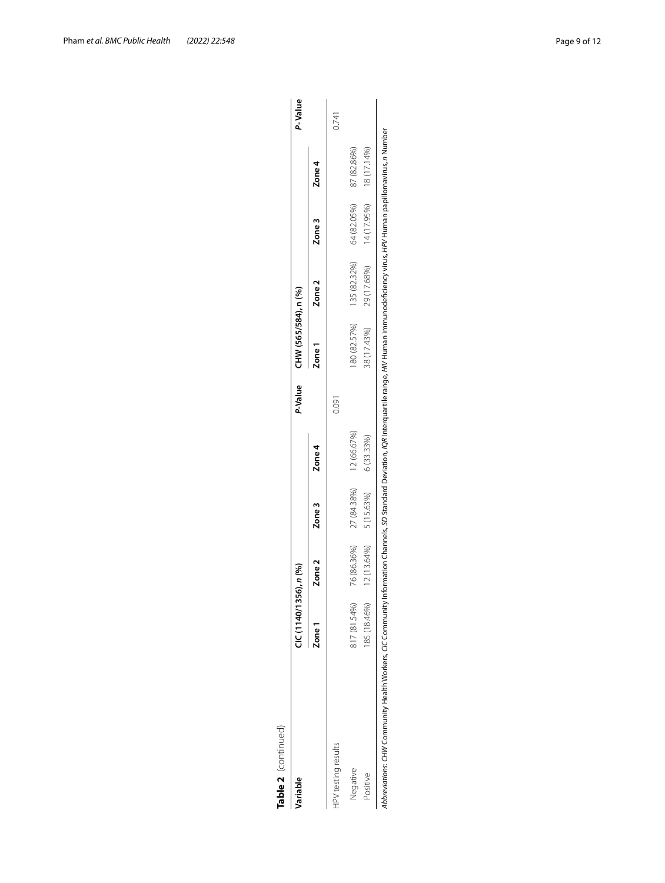| O |
|---|
|   |
|   |

| <b>Jariable</b>            | CIC(1140/1356), n(96) |             |                            |             |       | P-Value CHW (565/584), n (%) |                                                 |             |             | P-Value |
|----------------------------|-----------------------|-------------|----------------------------|-------------|-------|------------------------------|-------------------------------------------------|-------------|-------------|---------|
|                            | Zone 1                | Zone 2      | Zone <sub>3</sub>          | Zone 4      |       | Zone <sub>1</sub>            | Zone <sub>2</sub>                               | Zone 3      | Zone 4      |         |
| <b>HPV</b> testing results |                       |             |                            |             | 0.091 |                              |                                                 |             |             | 0.741   |
| Negative                   | 817 (81.54%)          | 76 (86.36%) | 27 (84.38%)                | 12 (66.67%) |       |                              | 80 (82.57%) 135 (82.32%)                        | 64 (82.05%) | 87 (82.86%) |         |
| Positive                   | 185 (18.46%)          |             | $12(13.64\%)$ $5(15.63\%)$ | 6 (33.33%)  |       |                              | 38 (17.43%) 29 (17.68%) 14 (17.95%) 18 (17.14%) |             |             |         |

Abbreviations: CHW Community Health Workers, CIC Community Information Channels, SD Standard Deviation, IQR Interquartile range, HIV Human immunodeficiency virus, HPV Human papillomavirus, n Number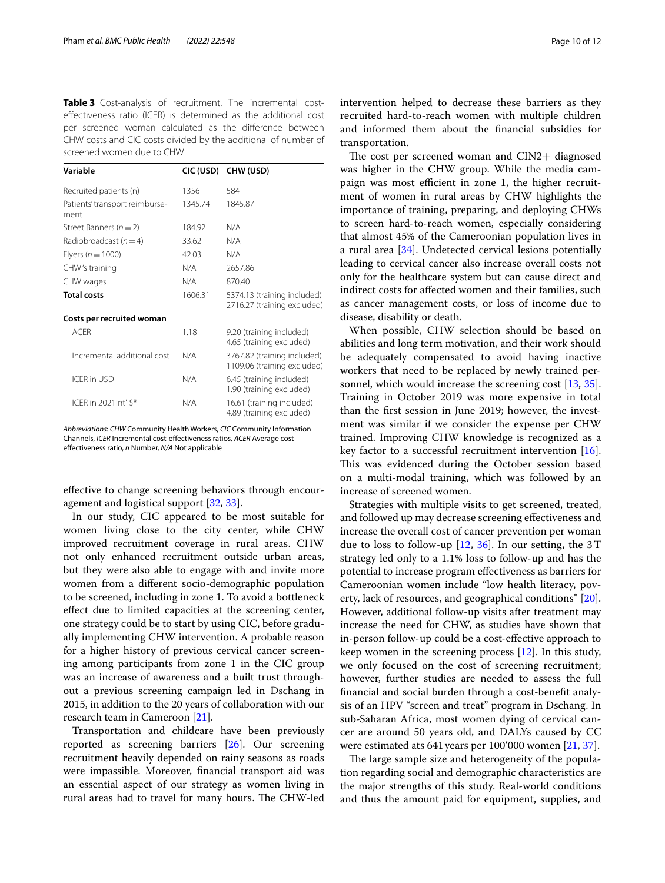<span id="page-9-0"></span>**Table 3** Cost-analysis of recruitment. The incremental costefectiveness ratio (ICER) is determined as the additional cost per screened woman calculated as the diference between CHW costs and CIC costs divided by the additional of number of screened women due to CHW

| Variable                               | CIC (USD) | CHW (USD)                                                  |
|----------------------------------------|-----------|------------------------------------------------------------|
| Recruited patients (n)                 | 1356      | 584                                                        |
| Patients' transport reimburse-<br>ment | 1345.74   | 1845.87                                                    |
| Street Banners $(n=2)$                 | 184.92    | N/A                                                        |
| Radiobroadcast $(n=4)$                 | 33.62     | N/A                                                        |
| Flyers ( $n = 1000$ )                  | 42.03     | N/A                                                        |
| CHW's training                         | N/A       | 2657.86                                                    |
| CHW wages                              | N/A       | 870.40                                                     |
| <b>Total costs</b>                     | 1606.31   | 5374.13 (training included)<br>2716.27 (training excluded) |
| Costs per recruited woman              |           |                                                            |
| <b>ACFR</b>                            | 1.18      | 9.20 (training included)<br>4.65 (training excluded)       |
| Incremental additional cost            | N/A       | 3767.82 (training included)<br>1109.06 (training excluded) |
| ICER in USD                            | N/A       | 6.45 (training included)<br>1.90 (training excluded)       |
| ICER in 2021 Int'l \$*                 | N/A       | 16.61 (training included)<br>4.89 (training excluded)      |

*Abbreviations*: *CHW* Community Health Workers, *CIC* Community Information Channels, *ICER* Incremental cost-efectiveness ratios, *ACER* Average cost efectiveness ratio, *n* Number, *N/A* Not applicable

efective to change screening behaviors through encouragement and logistical support [[32,](#page-11-21) [33\]](#page-11-22).

In our study, CIC appeared to be most suitable for women living close to the city center, while CHW improved recruitment coverage in rural areas. CHW not only enhanced recruitment outside urban areas, but they were also able to engage with and invite more women from a diferent socio-demographic population to be screened, including in zone 1. To avoid a bottleneck efect due to limited capacities at the screening center, one strategy could be to start by using CIC, before gradually implementing CHW intervention. A probable reason for a higher history of previous cervical cancer screening among participants from zone 1 in the CIC group was an increase of awareness and a built trust throughout a previous screening campaign led in Dschang in 2015, in addition to the 20 years of collaboration with our research team in Cameroon [[21\]](#page-11-12).

Transportation and childcare have been previously reported as screening barriers [\[26](#page-11-17)]. Our screening recruitment heavily depended on rainy seasons as roads were impassible. Moreover, fnancial transport aid was an essential aspect of our strategy as women living in rural areas had to travel for many hours. The CHW-led intervention helped to decrease these barriers as they recruited hard-to-reach women with multiple children and informed them about the fnancial subsidies for transportation.

The cost per screened woman and CIN2+ diagnosed was higher in the CHW group. While the media campaign was most efficient in zone 1, the higher recruitment of women in rural areas by CHW highlights the importance of training, preparing, and deploying CHWs to screen hard-to-reach women, especially considering that almost 45% of the Cameroonian population lives in a rural area [\[34](#page-11-23)]. Undetected cervical lesions potentially leading to cervical cancer also increase overall costs not only for the healthcare system but can cause direct and indirect costs for afected women and their families, such as cancer management costs, or loss of income due to disease, disability or death.

When possible, CHW selection should be based on abilities and long term motivation, and their work should be adequately compensated to avoid having inactive workers that need to be replaced by newly trained personnel, which would increase the screening cost [[13](#page-11-24), [35](#page-11-25)]. Training in October 2019 was more expensive in total than the frst session in June 2019; however, the investment was similar if we consider the expense per CHW trained. Improving CHW knowledge is recognized as a key factor to a successful recruitment intervention [\[16](#page-11-26)]. This was evidenced during the October session based on a multi-modal training, which was followed by an increase of screened women.

Strategies with multiple visits to get screened, treated, and followed up may decrease screening efectiveness and increase the overall cost of cancer prevention per woman due to loss to follow-up  $[12, 36]$  $[12, 36]$  $[12, 36]$  $[12, 36]$  $[12, 36]$ . In our setting, the 3T strategy led only to a 1.1% loss to follow-up and has the potential to increase program efectiveness as barriers for Cameroonian women include "low health literacy, poverty, lack of resources, and geographical conditions" [\[20](#page-11-11)]. However, additional follow-up visits after treatment may increase the need for CHW, as studies have shown that in-person follow-up could be a cost-efective approach to keep women in the screening process [[12](#page-11-7)]. In this study, we only focused on the cost of screening recruitment; however, further studies are needed to assess the full fnancial and social burden through a cost-beneft analysis of an HPV "screen and treat" program in Dschang. In sub-Saharan Africa, most women dying of cervical cancer are around 50 years old, and DALYs caused by CC were estimated ats 641years per 100′000 women [[21,](#page-11-12) [37\]](#page-11-28).

The large sample size and heterogeneity of the population regarding social and demographic characteristics are the major strengths of this study. Real-world conditions and thus the amount paid for equipment, supplies, and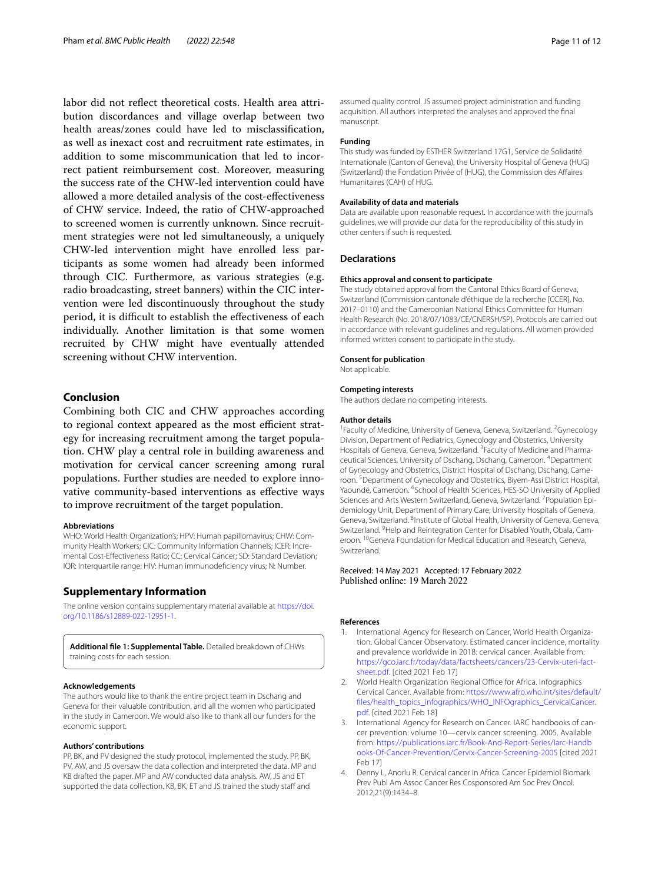labor did not refect theoretical costs. Health area attribution discordances and village overlap between two health areas/zones could have led to misclassifcation, as well as inexact cost and recruitment rate estimates, in addition to some miscommunication that led to incorrect patient reimbursement cost. Moreover, measuring the success rate of the CHW-led intervention could have allowed a more detailed analysis of the cost-efectiveness of CHW service. Indeed, the ratio of CHW-approached to screened women is currently unknown. Since recruitment strategies were not led simultaneously, a uniquely CHW-led intervention might have enrolled less participants as some women had already been informed through CIC. Furthermore, as various strategies (e.g. radio broadcasting, street banners) within the CIC intervention were led discontinuously throughout the study period, it is difficult to establish the effectiveness of each individually. Another limitation is that some women recruited by CHW might have eventually attended screening without CHW intervention.

#### **Conclusion**

Combining both CIC and CHW approaches according to regional context appeared as the most efficient strategy for increasing recruitment among the target population. CHW play a central role in building awareness and motivation for cervical cancer screening among rural populations. Further studies are needed to explore innovative community-based interventions as efective ways to improve recruitment of the target population.

#### **Abbreviations**

WHO: World Health Organization's; HPV: Human papillomavirus; CHW: Community Health Workers; CIC: Community Information Channels; ICER: Incremental Cost-Efectiveness Ratio; CC: Cervical Cancer; SD: Standard Deviation; IQR: Interquartile range; HIV: Human immunodeficiency virus; N: Number.

#### **Supplementary Information**

The online version contains supplementary material available at [https://doi.](https://doi.org/10.1186/s12889-022-12951-1) [org/10.1186/s12889-022-12951-1](https://doi.org/10.1186/s12889-022-12951-1).

<span id="page-10-4"></span>**Additional fle 1: Supplemental Table.** Detailed breakdown of CHWs training costs for each session.

#### **Acknowledgements**

The authors would like to thank the entire project team in Dschang and Geneva for their valuable contribution, and all the women who participated in the study in Cameroon. We would also like to thank all our funders for the economic support.

#### **Authors' contributions**

PP, BK, and PV designed the study protocol, implemented the study. PP, BK, PV, AW, and JS oversaw the data collection and interpreted the data. MP and KB drafted the paper. MP and AW conducted data analysis. AW, JS and ET supported the data collection. KB, BK, ET and JS trained the study staff and

assumed quality control. JS assumed project administration and funding acquisition. All authors interpreted the analyses and approved the fnal manuscript.

#### **Funding**

This study was funded by ESTHER Switzerland 17G1, Service de Solidarité Internationale (Canton of Geneva), the University Hospital of Geneva (HUG) (Switzerland) the Fondation Privée of (HUG), the Commission des Afaires Humanitaires (CAH) of HUG.

#### **Availability of data and materials**

Data are available upon reasonable request. In accordance with the journal's guidelines, we will provide our data for the reproducibility of this study in other centers if such is requested.

#### **Declarations**

#### **Ethics approval and consent to participate**

The study obtained approval from the Cantonal Ethics Board of Geneva, Switzerland (Commission cantonale d'éthique de la recherche [CCER], No. 2017–0110) and the Cameroonian National Ethics Committee for Human Health Research (No. 2018/07/1083/CE/CNERSH/SP). Protocols are carried out in accordance with relevant guidelines and regulations. All women provided informed written consent to participate in the study.

#### **Consent for publication**

Not applicable.

#### **Competing interests**

The authors declare no competing interests.

#### **Author details**

<sup>1</sup> Faculty of Medicine, University of Geneva, Geneva, Switzerland. <sup>2</sup> Gynecology Division, Department of Pediatrics, Gynecology and Obstetrics, University Hospitals of Geneva, Geneva, Switzerland. <sup>3</sup> Faculty of Medicine and Pharmaceutical Sciences, University of Dschang, Dschang, Cameroon. 4 Department of Gynecology and Obstetrics, District Hospital of Dschang, Dschang, Cameroon.<sup>5</sup> Department of Gynecology and Obstetrics, Biyem-Assi District Hospital, Yaoundé, Cameroon. <sup>6</sup>School of Health Sciences, HES-SO University of Applied Sciences and Arts Western Switzerland, Geneva, Switzerland. <sup>7</sup> Population Epidemiology Unit, Department of Primary Care, University Hospitals of Geneva, Geneva, Switzerland. <sup>8</sup>Institute of Global Health, University of Geneva, Geneva, Switzerland. <sup>9</sup> Help and Reintegration Center for Disabled Youth, Obala, Cameroon. <sup>10</sup>Geneva Foundation for Medical Education and Research, Geneva, Switzerland.

# Received: 14 May 2021 Accepted: 17 February 2022<br>Published online: 19 March 2022

#### **References**

- <span id="page-10-0"></span>International Agency for Research on Cancer, World Health Organization. Global Cancer Observatory. Estimated cancer incidence, mortality and prevalence worldwide in 2018: cervical cancer. Available from: [https://gco.iarc.fr/today/data/factsheets/cancers/23-Cervix-uteri-fact](https://gco.iarc.fr/today/data/factsheets/cancers/23-Cervix-uteri-fact-sheet.pdf) [sheet.pdf](https://gco.iarc.fr/today/data/factsheets/cancers/23-Cervix-uteri-fact-sheet.pdf). [cited 2021 Feb 17]
- <span id="page-10-1"></span>2. World Health Organization Regional Office for Africa. Infographics Cervical Cancer. Available from: [https://www.afro.who.int/sites/default/](https://www.afro.who.int/sites/default/files/health_topics_infographics/WHO_INFOgraphics_CervicalCancer.pdf) [fles/health\\_topics\\_infographics/WHO\\_INFOgraphics\\_CervicalCancer.](https://www.afro.who.int/sites/default/files/health_topics_infographics/WHO_INFOgraphics_CervicalCancer.pdf) [pdf.](https://www.afro.who.int/sites/default/files/health_topics_infographics/WHO_INFOgraphics_CervicalCancer.pdf) [cited 2021 Feb 18]
- <span id="page-10-2"></span>3. International Agency for Research on Cancer. IARC handbooks of cancer prevention: volume 10—cervix cancer screening. 2005. Available from: [https://publications.iarc.fr/Book-And-Report-Series/Iarc-Handb](https://publications.iarc.fr/Book-And-Report-Series/Iarc-Handbooks-Of-Cancer-Prevention/Cervix-Cancer-Screening-2005) [ooks-Of-Cancer-Prevention/Cervix-Cancer-Screening-2005](https://publications.iarc.fr/Book-And-Report-Series/Iarc-Handbooks-Of-Cancer-Prevention/Cervix-Cancer-Screening-2005) [cited 2021 Feb 17]
- <span id="page-10-3"></span>4. Denny L, Anorlu R. Cervical cancer in Africa. Cancer Epidemiol Biomark Prev Publ Am Assoc Cancer Res Cosponsored Am Soc Prev Oncol. 2012;21(9):1434–8.